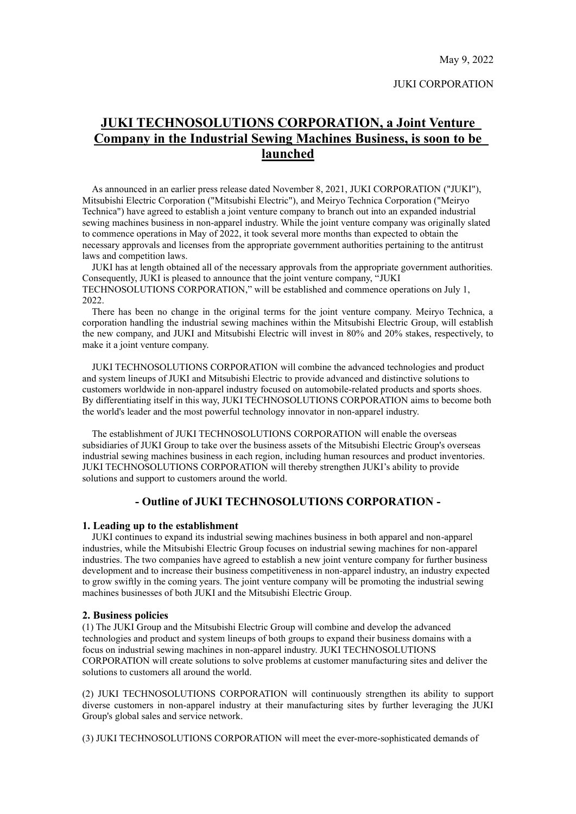May 9, 2022

#### JUKI CORPORATION

# **JUKI TECHNOSOLUTIONS CORPORATION, a Joint Venture Company in the Industrial Sewing Machines Business, is soon to be launched**

As announced in an earlier press release dated November 8, 2021, JUKI CORPORATION ("JUKI"), Mitsubishi Electric Corporation ("Mitsubishi Electric"), and Meiryo Technica Corporation ("Meiryo Technica") have agreed to establish a joint venture company to branch out into an expanded industrial sewing machines business in non-apparel industry. While the joint venture company was originally slated to commence operations in May of 2022, it took several more months than expected to obtain the necessary approvals and licenses from the appropriate government authorities pertaining to the antitrust laws and competition laws.

JUKI has at length obtained all of the necessary approvals from the appropriate government authorities. Consequently, JUKI is pleased to announce that the joint venture company, "JUKI TECHNOSOLUTIONS CORPORATION," will be established and commence operations on July 1, 2022.

There has been no change in the original terms for the joint venture company. Meiryo Technica, a corporation handling the industrial sewing machines within the Mitsubishi Electric Group, will establish the new company, and JUKI and Mitsubishi Electric will invest in 80% and 20% stakes, respectively, to make it a joint venture company.

JUKI TECHNOSOLUTIONS CORPORATION will combine the advanced technologies and product and system lineups of JUKI and Mitsubishi Electric to provide advanced and distinctive solutions to customers worldwide in non-apparel industry focused on automobile-related products and sports shoes. By differentiating itself in this way, JUKI TECHNOSOLUTIONS CORPORATION aims to become both the world's leader and the most powerful technology innovator in non-apparel industry.

The establishment of JUKI TECHNOSOLUTIONS CORPORATION will enable the overseas subsidiaries of JUKI Group to take over the business assets of the Mitsubishi Electric Group's overseas industrial sewing machines business in each region, including human resources and product inventories. JUKI TECHNOSOLUTIONS CORPORATION will thereby strengthen JUKI's ability to provide solutions and support to customers around the world.

# **- Outline of JUKI TECHNOSOLUTIONS CORPORATION -**

#### **1. Leading up to the establishment**

JUKI continues to expand its industrial sewing machines business in both apparel and non-apparel industries, while the Mitsubishi Electric Group focuses on industrial sewing machines for non-apparel industries. The two companies have agreed to establish a new joint venture company for further business development and to increase their business competitiveness in non-apparel industry, an industry expected to grow swiftly in the coming years. The joint venture company will be promoting the industrial sewing machines businesses of both JUKI and the Mitsubishi Electric Group.

#### **2. Business policies**

(1) The JUKI Group and the Mitsubishi Electric Group will combine and develop the advanced technologies and product and system lineups of both groups to expand their business domains with a focus on industrial sewing machines in non-apparel industry. JUKI TECHNOSOLUTIONS CORPORATION will create solutions to solve problems at customer manufacturing sites and deliver the solutions to customers all around the world.

(2) JUKI TECHNOSOLUTIONS CORPORATION will continuously strengthen its ability to support diverse customers in non-apparel industry at their manufacturing sites by further leveraging the JUKI Group's global sales and service network.

(3) JUKI TECHNOSOLUTIONS CORPORATION will meet the ever-more-sophisticated demands of